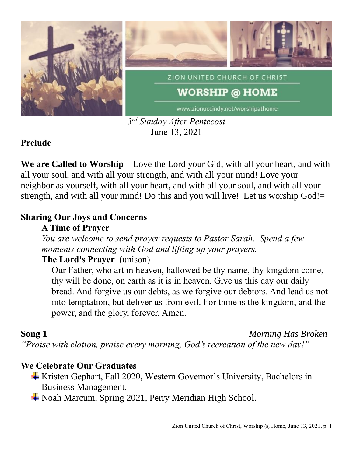

*3 rd Sunday After Pentecost* June 13, 2021

# **Prelude**

**We are Called to Worship** – Love the Lord your Gid, with all your heart, and with all your soul, and with all your strength, and with all your mind! Love your neighbor as yourself, with all your heart, and with all your soul, and with all your strength, and with all your mind! Do this and you will live! Let us worship God!=

### **Sharing Our Joys and Concerns**

### **A Time of Prayer**

*You are welcome to send prayer requests to Pastor Sarah. Spend a few moments connecting with God and lifting up your prayers.*

# **The Lord's Prayer** (unison)

Our Father, who art in heaven, hallowed be thy name, thy kingdom come, thy will be done, on earth as it is in heaven. Give us this day our daily bread. And forgive us our debts, as we forgive our debtors. And lead us not into temptation, but deliver us from evil. For thine is the kingdom, and the power, and the glory, forever. Amen.

**Song 1** *Morning Has Broken*

*"Praise with elation, praise every morning, God's recreation of the new day!"*

# **We Celebrate Our Graduates**

- Kristen Gephart, Fall 2020, Western Governor's University, Bachelors in Business Management.
- Noah Marcum, Spring 2021, Perry Meridian High School.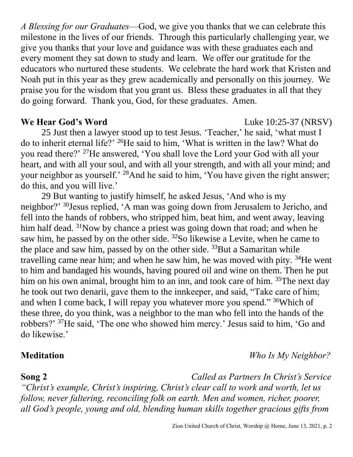*A Blessing for our Graduates*—God, we give you thanks that we can celebrate this milestone in the lives of our friends. Through this particularly challenging year, we give you thanks that your love and guidance was with these graduates each and every moment they sat down to study and learn. We offer our gratitude for the educators who nurtured these students. We celebrate the hard work that Kristen and Noah put in this year as they grew academically and personally on this journey. We praise you for the wisdom that you grant us. Bless these graduates in all that they do going forward. Thank you, God, for these graduates. Amen.

### **We Hear God's Word** Luke 10:25-37 (NRSV)

25 Just then a lawyer stood up to test Jesus. 'Teacher,' he said, 'what must I do to inherit eternal life?' <sup>26</sup>He said to him, 'What is written in the law? What do you read there?' <sup>27</sup>He answered, 'You shall love the Lord your God with all your heart, and with all your soul, and with all your strength, and with all your mind; and your neighbor as yourself.' <sup>28</sup>And he said to him, 'You have given the right answer; do this, and you will live.'

29 But wanting to justify himself, he asked Jesus, 'And who is my neighbor?' <sup>30</sup>Jesus replied, 'A man was going down from Jerusalem to Jericho, and fell into the hands of robbers, who stripped him, beat him, and went away, leaving him half dead. <sup>31</sup>Now by chance a priest was going down that road; and when he saw him, he passed by on the other side.  $32$ So likewise a Levite, when he came to the place and saw him, passed by on the other side.  $33$ But a Samaritan while travelling came near him; and when he saw him, he was moved with pity.  $34$ He went to him and bandaged his wounds, having poured oil and wine on them. Then he put him on his own animal, brought him to an inn, and took care of him. <sup>35</sup>The next day he took out two denarii, gave them to the innkeeper, and said, "Take care of him; and when I come back, I will repay you whatever more you spend." <sup>36</sup>Which of these three, do you think, was a neighbor to the man who fell into the hands of the robbers?' <sup>37</sup>He said, 'The one who showed him mercy.' Jesus said to him, 'Go and do likewise.'

**Meditation** *Who Is My Neighbor?*

**Song 2** *Called as Partners In Christ's Service "Christ's example, Christ's inspiring, Christ's clear call to work and worth, let us follow, never faltering, reconciling folk on earth. Men and women, richer, poorer, all God's people, young and old, blending human skills together gracious gifts from*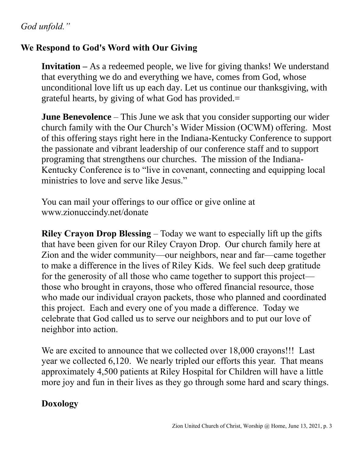# *God unfold."*

# **We Respond to God's Word with Our Giving**

**Invitation –** As a redeemed people, we live for giving thanks! We understand that everything we do and everything we have, comes from God, whose unconditional love lift us up each day. Let us continue our thanksgiving, with grateful hearts, by giving of what God has provided.=

**June Benevolence** – This June we ask that you consider supporting our wider church family with the Our Church's Wider Mission (OCWM) offering. Most of this offering stays right here in the Indiana-Kentucky Conference to support the passionate and vibrant leadership of our conference staff and to support programing that strengthens our churches. The mission of the Indiana-Kentucky Conference is to "live in covenant, connecting and equipping local ministries to love and serve like Jesus."

You can mail your offerings to our office or give online at www.zionuccindy.net/donate

**Riley Crayon Drop Blessing** – Today we want to especially lift up the gifts that have been given for our Riley Crayon Drop. Our church family here at Zion and the wider community—our neighbors, near and far—came together to make a difference in the lives of Riley Kids. We feel such deep gratitude for the generosity of all those who came together to support this project those who brought in crayons, those who offered financial resource, those who made our individual crayon packets, those who planned and coordinated this project. Each and every one of you made a difference. Today we celebrate that God called us to serve our neighbors and to put our love of neighbor into action.

We are excited to announce that we collected over 18,000 crayons!!! Last year we collected 6,120. We nearly tripled our efforts this year. That means approximately 4,500 patients at Riley Hospital for Children will have a little more joy and fun in their lives as they go through some hard and scary things.

### **Doxology**